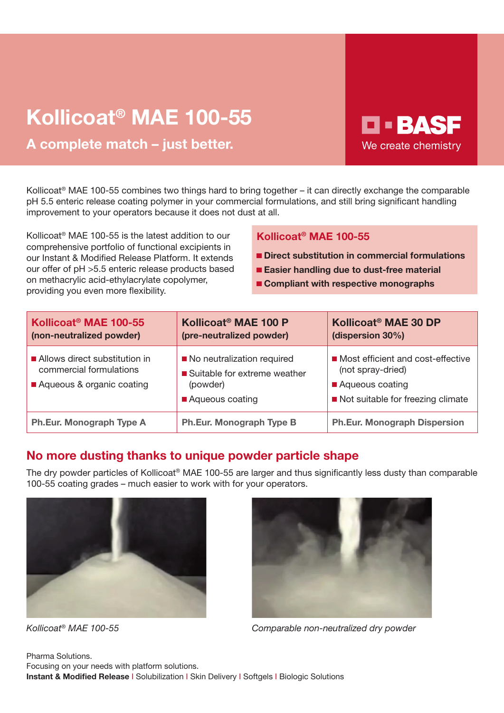# Kollicoat® MAE 100-55

A complete match – just better.

Kollicoat® MAE 100-55 combines two things hard to bring together – it can directly exchange the comparable pH 5.5 enteric release coating polymer in your commercial formulations, and still bring significant handling improvement to your operators because it does not dust at all.

Kollicoat® MAE 100-55 is the latest addition to our comprehensive portfolio of functional excipients in our Instant & Modified Release Platform. It extends our offer of pH >5.5 enteric release products based on methacrylic acid-ethylacrylate copolymer, providing you even more flexibility.

### Kollicoat® MAE 100-55

Direct substitution in commercial formulations

**D-BASF** 

We create chemistry

- Easier handling due to dust-free material
- Compliant with respective monographs

| Kollicoat <sup>®</sup> MAE 100-55<br>(non-neutralized powder)                         | Kollicoat <sup>®</sup> MAE 100 P<br>(pre-neutralized powder)                                | Kollicoat <sup>®</sup> MAE 30 DP<br>(dispersion 30%)                                                           |
|---------------------------------------------------------------------------------------|---------------------------------------------------------------------------------------------|----------------------------------------------------------------------------------------------------------------|
| Allows direct substitution in<br>commercial formulations<br>Aqueous & organic coating | No neutralization required<br>■ Suitable for extreme weather<br>(powder)<br>Aqueous coating | Most efficient and cost-effective<br>(not spray-dried)<br>Aqueous coating<br>Not suitable for freezing climate |
| Ph.Eur. Monograph Type A                                                              | Ph.Eur. Monograph Type B                                                                    | <b>Ph.Eur. Monograph Dispersion</b>                                                                            |

## No more dusting thanks to unique powder particle shape

The dry powder particles of Kollicoat® MAE 100-55 are larger and thus significantly less dusty than comparable 100-55 coating grades – much easier to work with for your operators.





Kollicoat<sup>®</sup> MAE 100-55 **Comparable non-neutralized dry powder**